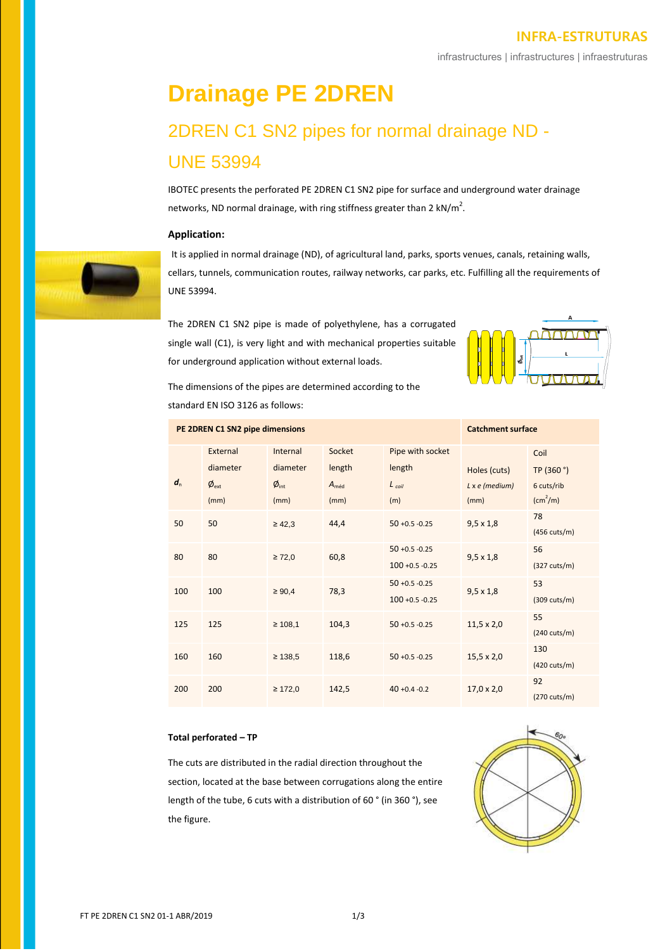# **INFRA-ESTRUTURAS**

infrastructures | infrastructures | infraestruturas

# **Drainage PE 2DREN** 2DREN C1 SN2 pipes for normal drainage ND - UNE 53994

IBOTEC presents the perforated PE 2DREN C1 SN2 pipe for surface and underground water drainage networks, ND normal drainage, with ring stiffness greater than 2 kN/m<sup>2</sup>.

# **Application:**



It is applied in normal drainage (ND), of agricultural land, parks, sports venues, canals, retaining walls, cellars, tunnels, communication routes, railway networks, car parks, etc. Fulfilling all the requirements of UNE 53994.

The 2DREN C1 SN2 pipe is made of polyethylene, has a corrugated single wall (C1), is very light and with mechanical properties suitable for underground application without external loads.



The dimensions of the pipes are determined according to the standard EN ISO 3126 as follows:

| PE 2DREN C1 SN2 pipe dimensions |                  |                  |                  |                    | <b>Catchment surface</b> |                        |
|---------------------------------|------------------|------------------|------------------|--------------------|--------------------------|------------------------|
|                                 | External         | Internal         | Socket           | Pipe with socket   |                          | Coil                   |
|                                 | diameter         | diameter         | length           | length             | Holes (cuts)             | TP (360 °)             |
| $d_{n}$                         | $\phi_{\rm ext}$ | $\phi_{\rm int}$ | $A_{\text{méd}}$ | $L_{coil}$         | $L \times e$ (medium)    | 6 cuts/rib             |
|                                 | (mm)             | (mm)             | (mm)             | (m)                | (mm)                     | $\rm (cm^2/m)$         |
| 50                              | 50               | $\geq 42,3$      | 44,4             | $50 + 0.5 - 0.25$  | $9,5 \times 1,8$         | 78                     |
|                                 |                  |                  |                  |                    |                          | (456 cuts/m)           |
| 80                              | 80               | $\geq 72,0$      | 60,8             | $50 + 0.5 - 0.25$  | $9,5 \times 1,8$         | 56                     |
|                                 |                  |                  |                  | $100 + 0.5 - 0.25$ |                          | $(327 \text{ cuts/m})$ |
| 100                             | 100              | $\geq 90,4$      | 78,3             | $50 + 0.5 - 0.25$  | $9,5 \times 1,8$         | 53                     |
|                                 |                  |                  |                  | $100 + 0.5 - 0.25$ |                          | $(309 \text{ cuts/m})$ |
| 125                             | 125              | $\geq 108,1$     | 104,3            | $50 + 0.5 - 0.25$  | $11,5 \times 2,0$        | 55                     |
|                                 |                  |                  |                  |                    |                          | $(240 \text{ cuts/m})$ |
| 160                             | 160              | $\geq 138,5$     | 118,6            | $50 + 0.5 - 0.25$  | $15,5 \times 2,0$        | 130                    |
|                                 |                  |                  |                  |                    |                          | $(420 \text{ cuts/m})$ |
| 200                             | 200              | $\geq 172.0$     | 142,5            | $40 + 0.4 - 0.2$   | $17.0 \times 2.0$        | 92                     |
|                                 |                  |                  |                  |                    |                          | (270 cuts/m)           |

## **Total perforated – TP**

The cuts are distributed in the radial direction throughout the section, located at the base between corrugations along the entire length of the tube, 6 cuts with a distribution of 60 ° (in 360 °), see the figure.

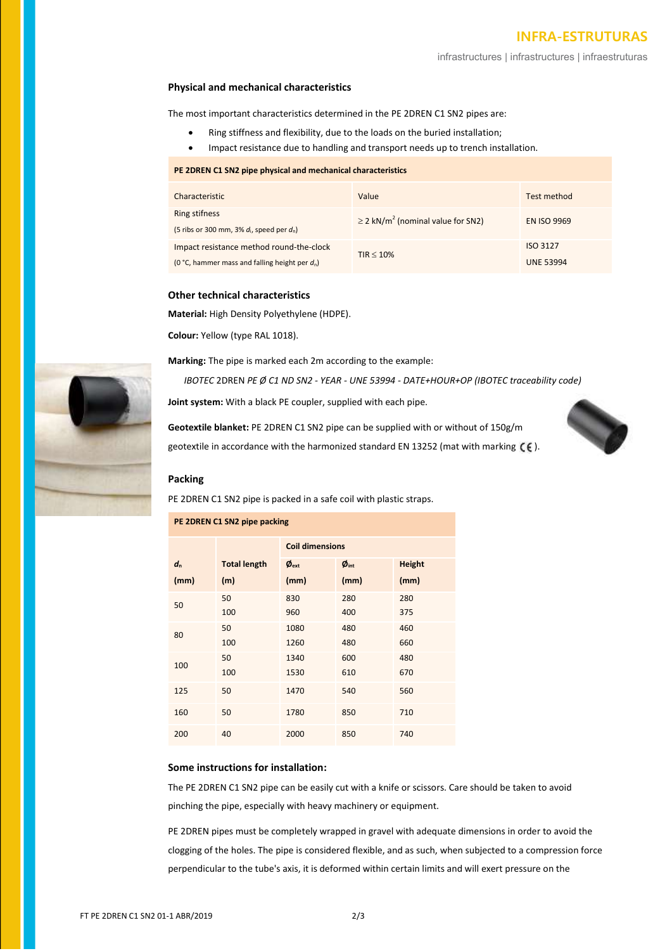# **INFRA-ESTRUTURAS**

infrastructures | infrastructures | infraestruturas

### **Physical and mechanical characteristics**

The most important characteristics determined in the PE 2DREN C1 SN2 pipes are:

- Ring stiffness and flexibility, due to the loads on the buried installation;
- Impact resistance due to handling and transport needs up to trench installation.

#### **PE 2DREN C1 SN2 pipe physical and mechanical characteristics**

| Characteristic                                                                                | Value                                              | Test method                  |
|-----------------------------------------------------------------------------------------------|----------------------------------------------------|------------------------------|
| Ring stifness<br>(5 ribs or 300 mm, 3% $d_i$ , speed per $d_i$ )                              | $\geq$ 2 kN/m <sup>2</sup> (nominal value for SN2) | <b>EN ISO 9969</b>           |
| Impact resistance method round-the-clock<br>(0 °C, hammer mass and falling height per $d_n$ ) | TIR < 10%                                          | ISO 3127<br><b>UNE 53994</b> |

# **Other technical characteristics**

**Material:** High Density Polyethylene (HDPE).

**Colour:** Yellow (type RAL 1018).

**PE 2DREN C1 SN2 pipe packing**

**Marking:** The pipe is marked each 2m according to the example:

*IBOTEC* 2DREN *PE Ø C1 ND SN2 - YEAR - UNE 53994 - DATE+HOUR+OP (IBOTEC traceability code)*

**Joint system:** With a black PE coupler, supplied with each pipe.

**Geotextile blanket:** PE 2DREN C1 SN2 pipe can be supplied with or without of 150g/m geotextile in accordance with the harmonized standard EN 13252 (mat with marking  $(6)$ .



## **Packing**

PE 2DREN C1 SN2 pipe is packed in a safe coil with plastic straps.

| <b>PE ZUREIV CT SINZ DIDE DOCKING</b> |                     |                                  |                                  |               |  |  |
|---------------------------------------|---------------------|----------------------------------|----------------------------------|---------------|--|--|
|                                       |                     | <b>Coil dimensions</b>           |                                  |               |  |  |
| $d_{n}$                               | <b>Total length</b> | $\boldsymbol{\phi}_{\text{ext}}$ | $\boldsymbol{\phi}_{\text{int}}$ | <b>Height</b> |  |  |
| (mm)                                  | (m)                 | (mm)                             | (mm)                             | (mm)          |  |  |
| 50                                    | 50                  | 830                              | 280                              | 280           |  |  |
|                                       | 100                 | 960                              | 400                              | 375           |  |  |
| 80                                    | 50                  | 1080                             | 480                              | 460           |  |  |
|                                       | 100                 | 1260                             | 480                              | 660           |  |  |
| 100                                   | 50                  | 1340                             | 600                              | 480           |  |  |
|                                       | 100                 | 1530                             | 610                              | 670           |  |  |
| 125                                   | 50                  | 1470                             | 540                              | 560           |  |  |
| 160                                   | 50                  | 1780                             | 850                              | 710           |  |  |
| 200                                   | 40                  | 2000                             | 850                              | 740           |  |  |

## **Some instructions for installation:**

The PE 2DREN C1 SN2 pipe can be easily cut with a knife or scissors. Care should be taken to avoid pinching the pipe, especially with heavy machinery or equipment.

PE 2DREN pipes must be completely wrapped in gravel with adequate dimensions in order to avoid the clogging of the holes. The pipe is considered flexible, and as such, when subjected to a compression force perpendicular to the tube's axis, it is deformed within certain limits and will exert pressure on the